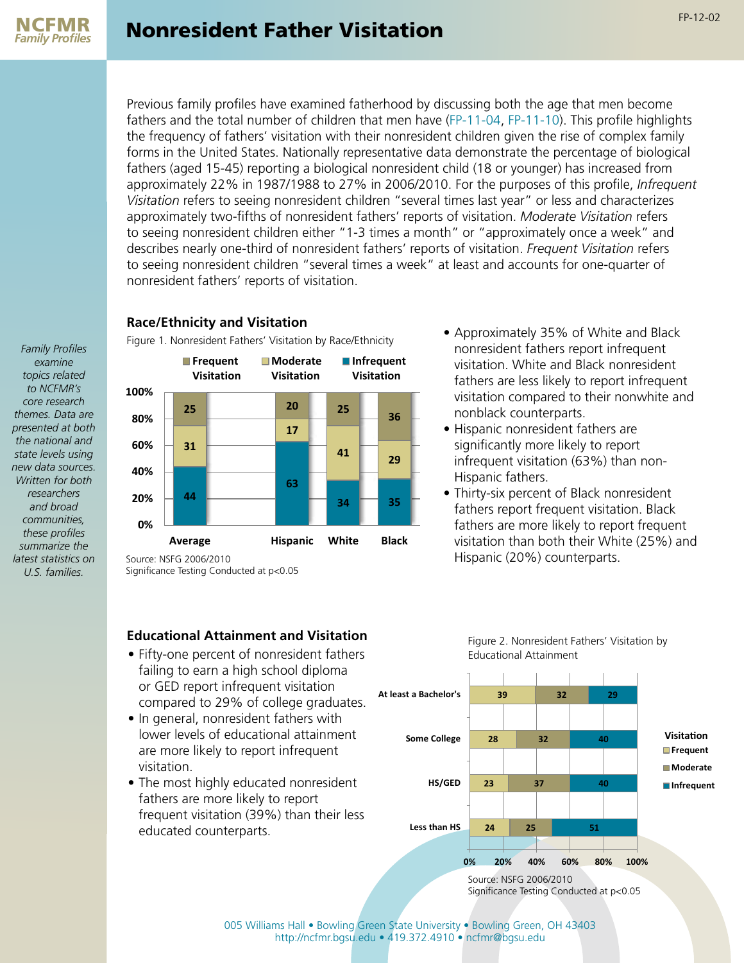

Previous family profiles have examined fatherhood by discussing both the age that men become fathers and the total number of children that men have [\(FP-11-04](http://ncfmr.bgsu.edu/pdf/family_profiles/file99036.pdf), [FP-11-10\)](http://ncfmr.bgsu.edu/pdf/family_profiles/file102305.pdf). This profile highlights the frequency of fathers' visitation with their nonresident children given the rise of complex family forms in the United States. Nationally representative data demonstrate the percentage of biological fathers (aged 15-45) reporting a biological nonresident child (18 or younger) has increased from approximately 22% in 1987/1988 to 27% in 2006/2010. For the purposes of this profile, *Infrequent Visitation* refers to seeing nonresident children "several times last year" or less and characterizes approximately two-fifths of nonresident fathers' reports of visitation. *Moderate Visitation* refers to seeing nonresident children either "1-3 times a month" or "approximately once a week" and describes nearly one-third of nonresident fathers' reports of visitation. *Frequent Visitation* refers to seeing nonresident children "several times a week" at least and accounts for one-quarter of nonresident fathers' reports of visitation.

## **Race/Ethnicity and Visitation** • Approximately 35% of White and Black



Figure 1. Nonresident Fathers' Visitation by Race/Ethnicity

- nonresident fathers report infrequent visitation. White and Black nonresident fathers are less likely to report infrequent visitation compared to their nonwhite and nonblack counterparts.
- Hispanic nonresident fathers are significantly more likely to report infrequent visitation (63%) than non-Hispanic fathers.
- Thirty-six percent of Black nonresident fathers report frequent visitation. Black fathers are more likely to report frequent visitation than both their White (25%) and Hispanic (20%) counterparts.

Significance Testing Conducted at p<0.05

### **Educational Attainment and Visitation**

- Fifty-one percent of nonresident fathers failing to earn a high school diploma or GED report infrequent visitation compared to 29% of college graduates.
- In general, nonresident fathers with lower levels of educational attainment are more likely to report infrequent visitation.
- The most highly educated nonresident fathers are more likely to report frequent visitation (39%) than their less educated counterparts.

Figure 2. Nonresident Fathers' Visitation by Educational Attainment



[005 Williams Hall • Bowling Green State University • Bowling Green, OH 43403](http://ncfmr.bgsu.edu/page80987.html) [http://ncfmr.bgsu.edu • 419.372.4910 • ncfmr@bgsu.edu](http://ncfmr.bgsu.edu/page80987.html)

*Family Profiles examine topics related to NCFMR's core research themes. Data are presented at both the national and state levels using new data sources. Written for both researchers and broad communities, these profiles summarize the latest statistics on U.S. families.*